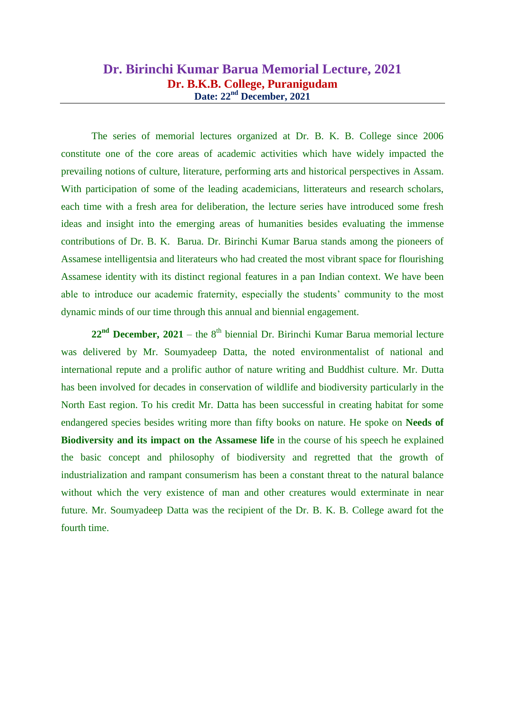## **Dr. Birinchi Kumar Barua Memorial Lecture, 2021 Dr. B.K.B. College, Puranigudam Date: 22nd December, 2021**

The series of memorial lectures organized at Dr. B. K. B. College since 2006 constitute one of the core areas of academic activities which have widely impacted the prevailing notions of culture, literature, performing arts and historical perspectives in Assam. With participation of some of the leading academicians, litterateurs and research scholars, each time with a fresh area for deliberation, the lecture series have introduced some fresh ideas and insight into the emerging areas of humanities besides evaluating the immense contributions of Dr. B. K. Barua. Dr. Birinchi Kumar Barua stands among the pioneers of Assamese intelligentsia and literateurs who had created the most vibrant space for flourishing Assamese identity with its distinct regional features in a pan Indian context. We have been able to introduce our academic fraternity, especially the students' community to the most dynamic minds of our time through this annual and biennial engagement.

22<sup>nd</sup> **December, 2021** – the 8<sup>th</sup> biennial Dr. Birinchi Kumar Barua memorial lecture was delivered by Mr. Soumyadeep Datta, the noted environmentalist of national and international repute and a prolific author of nature writing and Buddhist culture. Mr. Dutta has been involved for decades in conservation of wildlife and biodiversity particularly in the North East region. To his credit Mr. Datta has been successful in creating habitat for some endangered species besides writing more than fifty books on nature. He spoke on **Needs of Biodiversity and its impact on the Assamese life** in the course of his speech he explained the basic concept and philosophy of biodiversity and regretted that the growth of industrialization and rampant consumerism has been a constant threat to the natural balance without which the very existence of man and other creatures would exterminate in near future. Mr. Soumyadeep Datta was the recipient of the Dr. B. K. B. College award fot the fourth time.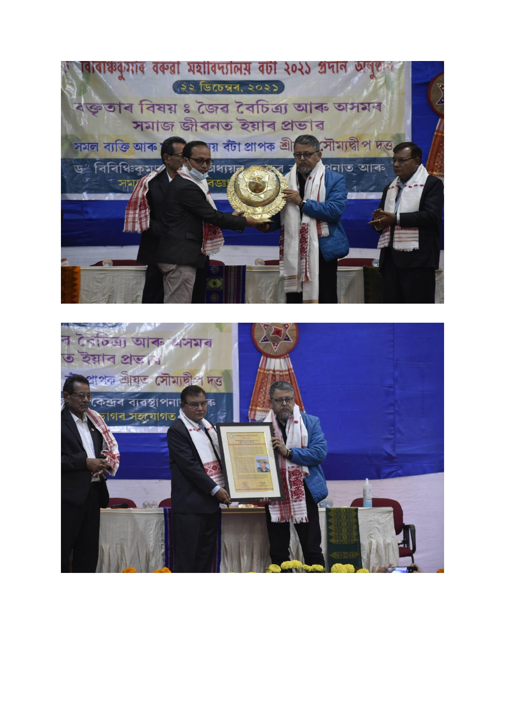

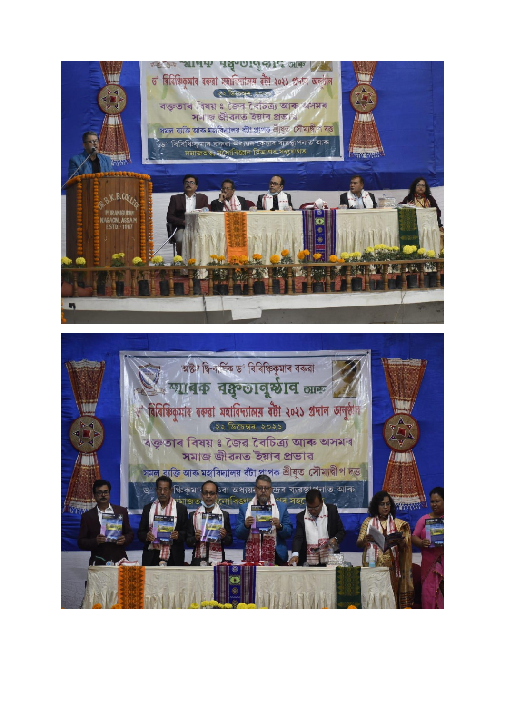